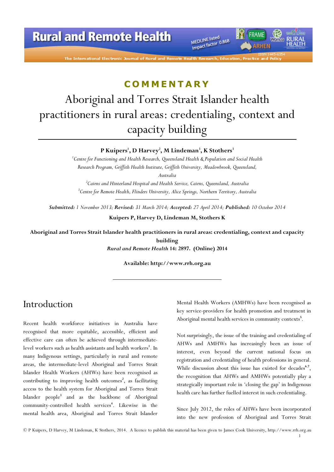# **Rural and Remote Health**

The International Electronic Journal of Rural and Remote

MEDLINE listed MEDLINE listed<br>Impact factor 0.868

### **COMMENTARY**

# Aboriginal and Torres Strait Islander health practitioners in rural areas: credentialing, context and capacity building

#### P Kuipers', D Harvey<sup>2</sup>, M Lindeman<sup>3</sup>, K Stothers<sup>3</sup>

 ${}^{1}$ Centre for Functioning and Health Research, Queensland Health & Population and Social Health Research Program, Griffith Health Institute, Griffith University, Meadowbrook, Queensland, Australia

 $^{2}$ Cairns and Hinterland Hospital and Health Service, Cairns, Queensland, Australia <sup>3</sup>Centre for Remote Health, Flinders University, Alice Springs, Northern Territory, Australia

Submitted: 1 November 2013; Revised: 31 March 2014; Accepted: 27 April 2014; Published: 10 October 2014

Kuipers P, Harvey D, Lindeman M, Stothers K

Aboriginal and Torres Strait Islander health practitioners in rural areas: credentialing, context and capacity building

Rural and Remote Health 14: 2897. (Online) 2014

Available: http://www.rrh.org.au

## Introduction

Recent health workforce initiatives in Australia have recognised that more equitable, accessible, efficient and effective care can often be achieved through intermediatelevel workers such as health assistants and health workers<sup>1</sup>. In many Indigenous settings, particularly in rural and remote areas, the intermediate-level Aboriginal and Torres Strait Islander Health Workers (AHWs) have been recognised as contributing to improving health outcomes<sup>2</sup>, as facilitating access to the health system for Aboriginal and Torres Strait Islander people<sup>3</sup> and as the backbone of Aboriginal community-controlled health services<sup>4</sup>. Likewise in the mental health area, Aboriginal and Torres Strait Islander

Mental Health Workers (AMHWs) have been recognised as key service-providers for health promotion and treatment in Aboriginal mental health services in community contexts<sup>5</sup>.

FRAME

*IRHEN* 

Not surprisingly, the issue of the training and credentialing of AHWs and AMHWs has increasingly been an issue of interest, even beyond the current national focus on registration and credentialing of health professions in general. While discussion about this issue has existed for decades<sup>6,7</sup>, the recognition that AHWs and AMHWs potentially play a strategically important role in 'closing the gap' in Indigenous health care has further fuelled interest in such credentialing.

Since July 2012, the roles of AHWs have been incorporated into the new profession of Aboriginal and Torres Strait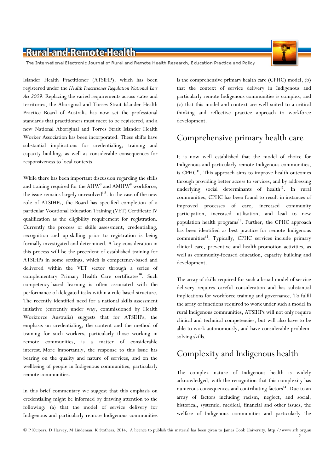The International Electronic Journal of Rural and Remote Health Research, Education Practice and Policy

Islander Health Practitioner (ATSIHP), which has been registered under the Health Practitioner Regulation National Law Act 2009. Replacing the varied requirements across states and territories, the Aboriginal and Torres Strait Islander Health Practice Board of Australia has now set the professional standards that practitioners must meet to be registered, and a new National Aboriginal and Torres Strait Islander Health Worker Association has been incorporated. These shifts have substantial implications for credentialing, training and capacity building, as well as considerable consequences for responsiveness to local contexts.

While there has been important discussion regarding the skills and training required for the  $AHW^3$  and  $AMHW^8$  workforce, the issue remains largely unresolved<sup>1,9</sup>. In the case of the new role of ATSIHPs, the Board has specified completion of a particular Vocational Education Training (VET) Certificate IV qualification as the eligibility requirement for registration. Currently the process of skills assessment, credentialing, recognition and up-skilling prior to registration is being formally investigated and determined. A key consideration in this process will be the precedent of established training for ATSIHPs in some settings, which is competency-based and delivered within the VET sector through a series of complementary Primary Health Care certificates<sup>10</sup>. Such competency-based learning is often associated with the performance of delegated tasks within a rule-based structure. The recently identified need for a national skills assessment initiative (currently under way, commissioned by Health Workforce Australia) suggests that for ATSIHPs, the emphasis on credentialing, the content and the method of training for such workers, particularly those working in remote communities, is a matter of considerable interest. More importantly, the response to this issue has bearing on the quality and nature of services, and on the wellbeing of people in Indigenous communities, particularly remote communities.

In this brief commentary we suggest that this emphasis on credentialing might be informed by drawing attention to the following: (a) that the model of service delivery for Indigenous and particularly remote Indigenous communities

is the comprehensive primary health care (CPHC) model, (b) that the context of service delivery in Indigenous and particularly remote Indigenous communities is complex, and (c) that this model and context are well suited to a critical thinking and reflective practice approach to workforce development.

#### Comprehensive primary health care

It is now well established that the model of choice for Indigenous and particularly remote Indigenous communities, is CPH $C^{11}$ . This approach aims to improve health outcomes through providing better access to services, and by addressing underlying social determinants of health<sup>12</sup>. In rural communities, CPHC has been found to result in instances of improved processes of care, increased community participation, increased utilisation, and lead to new population health programs<sup>13</sup>. Further, the CPHC approach has been identified as best practice for remote Indigenous communities<sup>13</sup>. Typically, CPHC services include primary clinical care, preventive and health-promotion activities, as well as community-focused education, capacity building and development.

The array of skills required for such a broad model of service delivery requires careful consideration and has substantial implications for workforce training and governance. To fulfil the array of functions required to work under such a model in rural Indigenous communities, ATSIHPs will not only require clinical and technical competencies, but will also have to be able to work autonomously, and have considerable problemsolving skills.

# Complexity and Indigenous health

The complex nature of Indigenous health is widely acknowledged, with the recognition that this complexity has numerous consequences and contributing factors<sup>14</sup>. Due to an array of factors including racism, neglect, and social, historical, systemic, medical, financial and other issues, the welfare of Indigenous communities and particularly the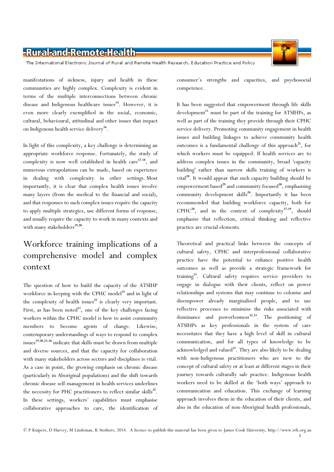

The International Electronic Journal of Rural and Remote Health Research, Education Practice and Policy

manifestations of sickness, injury and health in these communities are highly complex. Complexity is evident in terms of the multiple interconnections between chronic disease and Indigenous healthcare issues<sup>15</sup>. However, it is even more clearly exemplified in the social, economic, cultural, behavioural, attitudinal and other issues that impact on Indigenous health service delivery<sup>16</sup>.

In light of this complexity, a key challenge is determining an appropriate workforce response. Fortunately, the study of complexity is now well established in health care<sup>17,18</sup>, and numerous extrapolations can be made, based on experience in dealing with complexity in other settings. Most importantly, it is clear that complex health issues involve many layers (from the medical to the financial and social), and that responses to such complex issues require the capacity to apply multiple strategies, use different forms of response, and usually require the capacity to work in many contexts and with many stakeholders<sup>19,20</sup>.

# Workforce training implications of a comprehensive model and complex context

The question of how to build the capacity of the ATSIHP workforce in keeping with the CPHC model<sup>21</sup> and in light of the complexity of health issues $^{22}$  is clearly very important. First, as has been noted $11$ , one of the key challenges facing workers within the CPHC model is how to assist community members to become agents of change. Likewise, contemporary understandings of ways to respond to complex issues<sup>19,20,23-26</sup> indicate that skills must be drawn from multiple and diverse sources, and that the capacity for collaboration with many stakeholders across sectors and disciplines is vital. As a case in point, the growing emphasis on chronic disease (particularly in Aboriginal populations) and the shift towards chronic disease self-management in health services underlines the necessity for PHC practitioners to reflect similar skills<sup>27</sup>. In these settings, workers' capabilities must emphasise collaborative approaches to care, the identification of

consumer's strengths and capacities, and psychosocial competence.

It has been suggested that empowerment through life skills development<sup>11</sup> must be part of the training for ATSIHPs, as well as part of the training they provide through their CPHC service delivery. Promoting community engagement in health issues and building linkages to achieve community health outcomes is a fundamental challenge of this approach<sup>21</sup>, for which workers must be equipped. If health services are to address complex issues in the community, broad 'capacity building' rather than narrow skills training of workers is vital $^{28}$ . It would appear that such capacity building should be empowerment based<sup>29</sup> and community focused<sup>30</sup>, emphasising community development skills<sup>29</sup>. Importantly it has been recommended that building workforce capacity, both for  $CPHC^{28}$ , and in the context of complexity<sup>17-19</sup>, should emphasise that reflection, critical thinking and reflective practice are crucial elements.

Theoretical and practical links between the concepts of cultural safety, CPHC and interprofessional collaborative practice have the potential to enhance positive health outcomes as well as provide a strategic framework for training<sup>31</sup>. Cultural safety requires service providers to engage in dialogue with their clients, reflect on power relationships and systems that may continue to colonise and disempower already marginalised people, and to use reflective processes to minimise the risks associated with dominance and powerlessness<sup>32,33</sup>. The positioning of ATSIHPs as key professionals in the system of care necessitates that they have a high level of skill in cultural communication, and for all types of knowledge to be acknowledged and valued<sup>31</sup>. They are also likely to be dealing with non-Indigenous practitioners who are new to the concept of cultural safety or at least at different stages in their journey towards culturally safe practice. Indigenous health workers need to be skilled at the 'both ways' approach to communication and education. This exchange of learning approach involves them in the education of their clients, and also in the education of non-Aboriginal health professionals,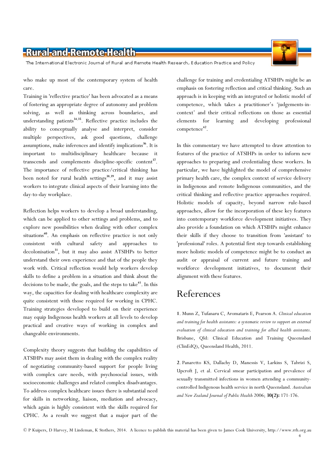The International Electronic Journal of Rural and Remote Health Research, Education Practice and Policy

who make up most of the contemporary system of health care.

Training in 'reflective practice' has been advocated as a means of fostering an appropriate degree of autonomy and problem solving, as well as thinking across boundaries, and understanding patients $34,35$ . Reflective practice includes the ability to conceptually analyse and interpret, consider multiple perspectives, ask good questions, challenge assumptions, make inferences and identify implications<sup>36</sup>. It is important to multidisciplinary healthcare because it transcends and complements discipline-specific content<sup>37</sup>. The importance of reflective practice/critical thinking has been noted for rural health settings<sup>38,39</sup>, and it may assist workers to integrate clinical aspects of their learning into the day-to-day workplace.

Reflection helps workers to develop a broad understanding, which can be applied to other settings and problems, and to explore new possibilities when dealing with other complex situations<sup>40</sup>. An emphasis on reflective practice is not only consistent with cultural safety and approaches to decolonisation<sup>31</sup>, but it may also assist ATSIHPs to better understand their own experience and that of the people they work with. Critical reflection would help workers develop skills to define a problem in a situation and think about the decisions to be made, the goals, and the steps to take $^{41}$ . In this way, the capacities for dealing with healthcare complexity are quite consistent with those required for working in CPHC. Training strategies developed to build on their experience may equip Indigenous health workers at all levels to develop practical and creative ways of working in complex and changeable environments.

Complexity theory suggests that building the capabilities of ATSIHPs may assist them in dealing with the complex reality of negotiating community-based support for people living with complex care needs, with psychosocial issues, with socioeconomic challenges and related complex disadvantages. To address complex healthcare issues there is substantial need for skills in networking, liaison, mediation and advocacy, which again is highly consistent with the skills required for CPHC. As a result we suggest that a major part of the

challenge for training and credentialing ATSIHPs might be an emphasis on fostering reflection and critical thinking. Such an approach is in keeping with an integrated or holistic model of competence, which takes a practitioner's 'judgements-incontext' and their critical reflections on those as essential elements for learning and developing professional competence<sup>42</sup>.

In this commentary we have attempted to draw attention to features of the practice of ATSIHPs in order to inform new approaches to preparing and credentialing these workers. In particular, we have highlighted the model of comprehensive primary health care, the complex context of service delivery in Indigenous and remote Indigenous communities, and the critical thinking and reflective practice approaches required. Holistic models of capacity, beyond narrow rule-based approaches, allow for the incorporation of these key features into contemporary workforce development initiatives. They also provide a foundation on which ATSIHPs might enhance their skills if they choose to transition from 'assistant' to 'professional' roles. A potential first step towards establishing more holistic models of competence might be to conduct an audit or appraisal of current and future training and workforce development initiatives, to document their alignment with these features.

### References

1. Munn Z, Tufanaru C, Aromataris E, Pearson A. Clinical education and training for health assistants: a systematic review to support an external evaluation of clinical education and training for allied health assistants. Brisbane, Qld: Clinical Education and Training Queensland (ClinEdQ), Queensland Health, 2011.

2. Panaretto KS, Dallachy D, Manessis V, Larkins S, Tabrizi S, Upcroft J, et al. Cervical smear participation and prevalence of sexually transmitted infections in women attending a communitycontrolled Indigenous health service in north Queensland. Australian and New Zealand Journal of Public Health 2006; 30(2): 171-176.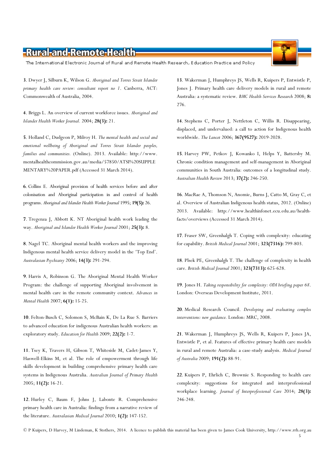The International Electronic Journal of Rural and Remote Health Research, Education Practice and Policy

3. Dwyer J, Silburn K, Wilson G. Aboriginal and Torres Strait Islander primary health care review: consultant report no 1. Canberra, ACT: Commonwealth of Australia, 2004.

4. Briggs L. An overview of current workforce issues. Aboriginal and Islander Health Worker Journal. 2004; 28(3): 21.

5. Holland C, Dudgeon P, Milroy H. The mental health and social and emotional wellbeing of Aboriginal and Torres Strait Islander peoples, families and communities. (Online). 2013. Available: http://www. mentalhealthcommission.gov.au/media/57850/ATSI%20SUPPLE MENTARY%20PAPER.pdf (Accessed 31 March 2014).

6. Collins E. Aboriginal provision of health services before and after colonisation and Aboriginal participation in and control of health programs. Aboriginal and Islander Health Worker Journal 1995; 19(5): 26.

7. Tregenza J, Abbott K. NT Aboriginal health work leading the way. Aboriginal and Islander Health Worker Journal 2001; 25(3): 8.

8. Nagel TC. Aboriginal mental health workers and the improving Indigenous mental health service delivery model in the 'Top End'. Australasian Psychiatry 2006; 14(3): 291-294.

9. Harris A, Robinson G. The Aboriginal Mental Health Worker Program: the challenge of supporting Aboriginal involvement in mental health care in the remote community context. Advances in Mental Health 2007; 6(1): 15-25.

10. Felton-Busch C, Solomon S, McBain K, De La Rue S. Barriers to advanced education for indigenous Australian health workers: an exploratory study. Education for Health 2009; 22(2): 1-7.

11. Tsey K, Travers H, Gibson T, Whiteside M, Cadet-James Y, Haswell-Elkins M, et al. The role of empowerment through life skills development in building comprehensive primary health care systems in Indigenous Australia. Australian Journal of Primary Health 2005; 11(2): 16-21.

12. Hurley C, Baum F, Johns J, Labonte R. Comprehensive primary health care in Australia: findings from a narrative review of the literature. Australasian Medical Journal 2010; 1(2): 147-152.

13. Wakerman J, Humphreys JS, Wells R, Kuipers P, Entwistle P, Jones J. Primary health care delivery models in rural and remote Australia: a systematic review. BMC Health Services Research 2008; 8: 276.

14. Stephens C, Porter J, Nettleton C, Willis R. Disappearing, displaced, and undervalued: a call to action for Indigenous health worldwide. The Lancet 2006; 367(9527): 2019-2028.

15. Harvey PW, Petkov J, Kowanko I, Helps Y, Battersby M. Chronic condition management and self-management in Aboriginal communities in South Australia: outcomes of a longitudinal study. Australian Health Review 2013; 37(2): 246-250.

16. MacRae A, Thomson N, Anomie, Burns J, Catto M, Gray C, et al. Overview of Australian Indigenous health status, 2012. (Online) 2013. Available: http://www.healthinfonet.ecu.edu.au/healthfacts/overviews (Accessed 31 March 2014).

17. Fraser SW, Greenhalgh T. Coping with complexity: educating for capability. British Medical Journal 2001; 323(7316): 799-803.

18. Plsek PE, Greenhalgh T. The challenge of complexity in health care. British Medical Journal 2001; 323(7313): 625-628.

19. Jones H. Taking responsibility for complexity: ODI briefing paper 68. London: Overseas Development Institute, 2011.

20. Medical Research Council. Developing and evaluating complex interventions: new guidance. London: MRC, 2008.

21. Wakerman J, Humphreys JS, Wells R, Kuipers P, Jones JA, Entwistle P, et al. Features of effective primary health care models in rural and remote Australia: a case-study analysis. Medical Journal of Australia 2009; 191(2): 88-91.

22. Kuipers P, Ehrlich C, Brownie S. Responding to health care complexity: suggestions for integrated and interprofessional workplace learning. Journal of Interprofessional Care 2014; 28(3): 246-248.